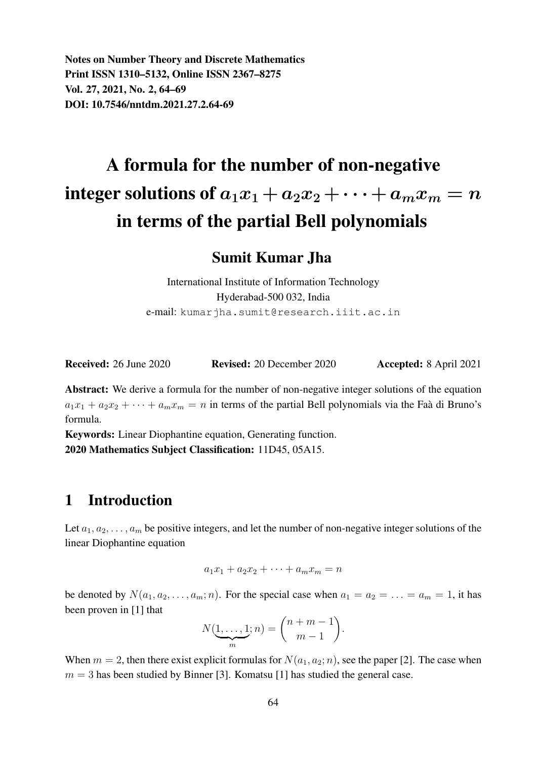Notes on Number Theory and Discrete Mathematics Print ISSN 1310–5132, Online ISSN 2367–8275 Vol. 27, 2021, No. 2, 64–69 DOI: 10.7546/nntdm.2021.27.2.64-69

# A formula for the number of non-negative integer solutions of  $a_1x_1 + a_2x_2 + \cdots + a_mx_m = n$ in terms of the partial Bell polynomials

Sumit Kumar Jha

International Institute of Information Technology Hyderabad-500 032, India e-mail: kumarjha.sumit@research.iiit.ac.in

Received: 26 June 2020 Revised: 20 December 2020 Accepted: 8 April 2021

Abstract: We derive a formula for the number of non-negative integer solutions of the equation  $a_1x_1 + a_2x_2 + \cdots + a_mx_m = n$  in terms of the partial Bell polynomials via the Faà di Bruno's formula.

Keywords: Linear Diophantine equation, Generating function. 2020 Mathematics Subject Classification: 11D45, 05A15.

### 1 Introduction

Let  $a_1, a_2, \ldots, a_m$  be positive integers, and let the number of non-negative integer solutions of the linear Diophantine equation

 $a_1x_1 + a_2x_2 + \cdots + a_mx_m = n$ 

be denoted by  $N(a_1, a_2, \ldots, a_m; n)$ . For the special case when  $a_1 = a_2 = \ldots = a_m = 1$ , it has been proven in [1] that

$$
N(\underbrace{1,\ldots,1}_{m};n) = \binom{n+m-1}{m-1}.
$$

When  $m = 2$ , then there exist explicit formulas for  $N(a_1, a_2; n)$ , see the paper [2]. The case when  $m = 3$  has been studied by Binner [3]. Komatsu [1] has studied the general case.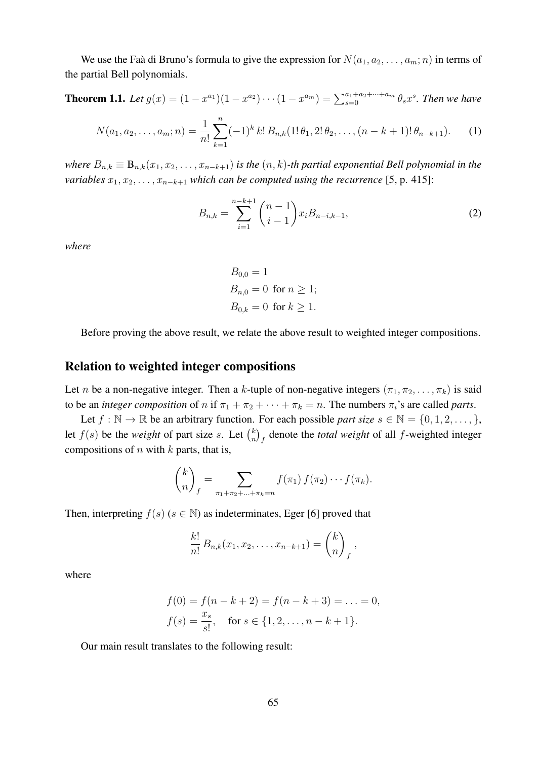We use the Faa di Bruno's formula to give the expression for  $N(a_1, a_2, \ldots, a_m; n)$  in terms of the partial Bell polynomials.

**Theorem 1.1.** Let  $g(x) = (1 - x^{a_1})(1 - x^{a_2}) \cdots (1 - x^{a_m}) = \sum_{s=0}^{a_1 + a_2 + \cdots + a_m} \theta_s x^s$ . Then we have

$$
N(a_1, a_2, \dots, a_m; n) = \frac{1}{n!} \sum_{k=1}^n (-1)^k k! B_{n,k}(1! \theta_1, 2! \theta_2, \dots, (n-k+1)! \theta_{n-k+1}).
$$
 (1)

*where*  $B_{n,k} \equiv B_{n,k}(x_1, x_2, \ldots, x_{n-k+1})$  *is the*  $(n, k)$ -th partial exponential Bell polynomial in the *variables*  $x_1, x_2, \ldots, x_{n-k+1}$  *which can be computed using the recurrence* [5, p. 415]:

$$
B_{n,k} = \sum_{i=1}^{n-k+1} {n-1 \choose i-1} x_i B_{n-i,k-1},
$$
 (2)

*where*

$$
B_{0,0} = 1
$$
  
\n
$$
B_{n,0} = 0 \text{ for } n \ge 1;
$$
  
\n
$$
B_{0,k} = 0 \text{ for } k \ge 1.
$$

Before proving the above result, we relate the above result to weighted integer compositions.

#### Relation to weighted integer compositions

Let n be a non-negative integer. Then a k-tuple of non-negative integers  $(\pi_1, \pi_2, \ldots, \pi_k)$  is said to be an *integer composition* of n if  $\pi_1 + \pi_2 + \cdots + \pi_k = n$ . The numbers  $\pi_i$ 's are called *parts*.

Let  $f : \mathbb{N} \to \mathbb{R}$  be an arbitrary function. For each possible *part size*  $s \in \mathbb{N} = \{0, 1, 2, \dots\}$ , let  $f(s)$  be the *weight* of part size s. Let  $\binom{k}{n}$  $\binom{k}{n}$  denote the *total weight* of all *f*-weighted integer compositions of  $n$  with  $k$  parts, that is,

$$
\binom{k}{n}_f = \sum_{\pi_1 + \pi_2 + \ldots + \pi_k = n} f(\pi_1) f(\pi_2) \cdots f(\pi_k).
$$

Then, interpreting  $f(s)$  ( $s \in \mathbb{N}$ ) as indeterminates, Eger [6] proved that

$$
\frac{k!}{n!} B_{n,k}(x_1, x_2, \ldots, x_{n-k+1}) = {k \choose n}_f,
$$

where

$$
f(0) = f(n - k + 2) = f(n - k + 3) = \dots = 0,
$$
  

$$
f(s) = \frac{x_s}{s!}, \text{ for } s \in \{1, 2, \dots, n - k + 1\}.
$$

Our main result translates to the following result: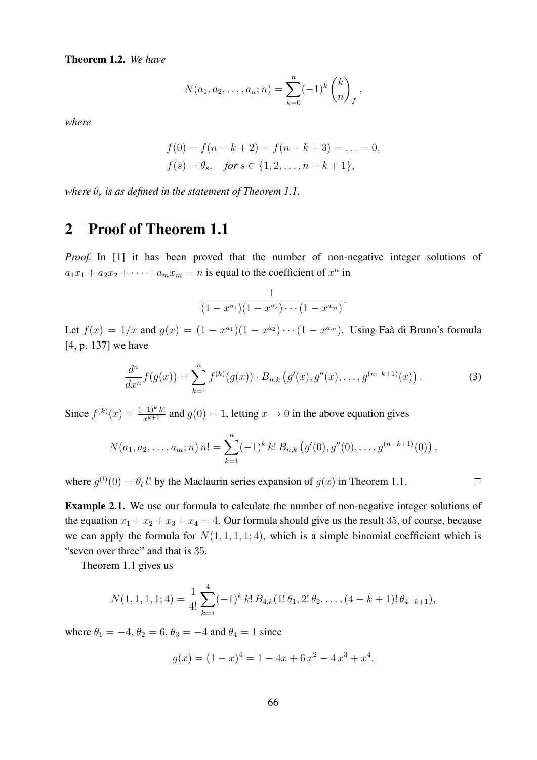Theorem 1.2. *We have*

$$
N(a_1, a_2, \ldots, a_n; n) = \sum_{k=0}^n (-1)^k {k \choose n}_f,
$$

*where*

$$
f(0) = f(n - k + 2) = f(n - k + 3) = \dots = 0,
$$
  

$$
f(s) = \theta_s, \quad \text{for } s \in \{1, 2, \dots, n - k + 1\},
$$

*where*  $\theta_s$  *is as defined in the statement of Theorem 1.1.* 

## 2 Proof of Theorem 1.1

Proof. In [1] it has been proved that the number of non-negative integer solutions of  $a_1x_1 + a_2x_2 + \cdots + a_mx_m = n$  is equal to the coefficient of  $x^n$  in

$$
\frac{1}{(1-x^{a_1})(1-x^{a_2})\cdots(1-x^{a_m})}.
$$

Let  $f(x) = 1/x$  and  $g(x) = (1 - x^{a_1})(1 - x^{a_2}) \cdots (1 - x^{a_m})$ . Using Faa di Bruno's formula [4, p. 137] we have

$$
\frac{d^n}{dx^n} f(g(x)) = \sum_{k=1}^n f^{(k)}(g(x)) \cdot B_{n,k} (g'(x), g''(x), \dots, g^{(n-k+1)}(x)). \tag{3}
$$

 $\Box$ 

Since  $f^{(k)}(x) = \frac{(-1)^k k!}{x^{k+1}}$  and  $g(0) = 1$ , letting  $x \to 0$  in the above equation gives

$$
N(a_1, a_2,..., a_m; n) n! = \sum_{k=1}^n (-1)^k k! B_{n,k} (g'(0), g''(0),..., g^{(n-k+1)}(0)),
$$

where  $g^{(l)}(0) = \theta_l l!$  by the Maclaurin series expansion of  $g(x)$  in Theorem 1.1.

Example 2.1. We use our formula to calculate the number of non-negative integer solutions of the equation  $x_1 + x_2 + x_3 + x_4 = 4$ . Our formula should give us the result 35, of course, because we can apply the formula for  $N(1, 1, 1, 1; 4)$ , which is a simple binomial coefficient which is "seven over three" and that is 35.

Theorem 1.1 gives us

$$
N(1,1,1,1;4) = \frac{1}{4!} \sum_{k=1}^{4} (-1)^k k! B_{4,k}(1! \theta_1, 2! \theta_2, \dots, (4 - k + 1)! \theta_{4-k+1}),
$$

where  $\theta_1 = -4$ ,  $\theta_2 = 6$ ,  $\theta_3 = -4$  and  $\theta_4 = 1$  since

$$
g(x) = (1 - x)^4 = 1 - 4x + 6x^2 - 4x^3 + x^4.
$$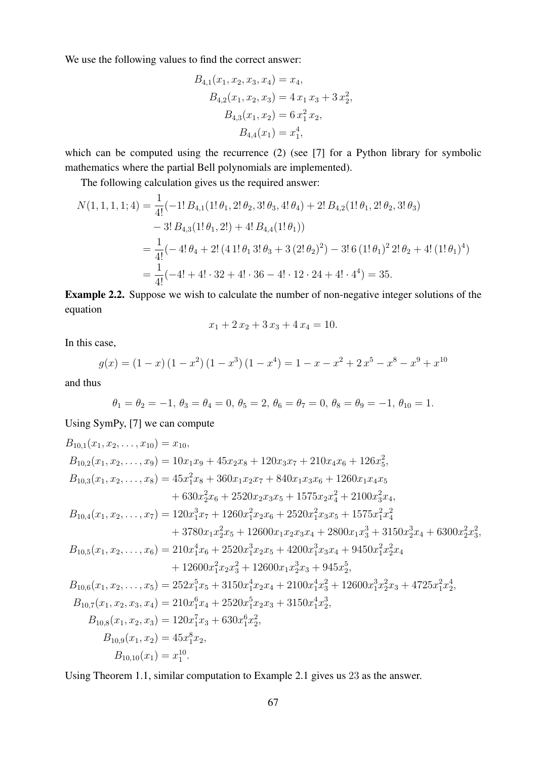We use the following values to find the correct answer:

$$
B_{4,1}(x_1, x_2, x_3, x_4) = x_4,
$$
  
\n
$$
B_{4,2}(x_1, x_2, x_3) = 4 x_1 x_3 + 3 x_2^2,
$$
  
\n
$$
B_{4,3}(x_1, x_2) = 6 x_1^2 x_2,
$$
  
\n
$$
B_{4,4}(x_1) = x_1^4,
$$

which can be computed using the recurrence (2) (see [7] for a Python library for symbolic mathematics where the partial Bell polynomials are implemented).

The following calculation gives us the required answer:

$$
N(1, 1, 1, 1; 4) = \frac{1}{4!}(-1! B_{4,1}(1! \theta_1, 2! \theta_2, 3! \theta_3, 4! \theta_4) + 2! B_{4,2}(1! \theta_1, 2! \theta_2, 3! \theta_3)
$$
  
\n
$$
-3! B_{4,3}(1! \theta_1, 2!) + 4! B_{4,4}(1! \theta_1)
$$
  
\n
$$
= \frac{1}{4!}(-4! \theta_4 + 2! (4 1! \theta_1 3! \theta_3 + 3 (2! \theta_2)^2) - 3! 6 (1! \theta_1)^2 2! \theta_2 + 4! (1! \theta_1)^4)
$$
  
\n
$$
= \frac{1}{4!}(-4! + 4! \cdot 32 + 4! \cdot 36 - 4! \cdot 12 \cdot 24 + 4! \cdot 4^4) = 35.
$$

Example 2.2. Suppose we wish to calculate the number of non-negative integer solutions of the equation

$$
x_1 + 2x_2 + 3x_3 + 4x_4 = 10.
$$

In this case,

$$
g(x) = (1 - x)(1 - x^2)(1 - x^3)(1 - x^4) = 1 - x - x^2 + 2x^5 - x^8 - x^9 + x^{10}
$$

and thus

$$
\theta_1 = \theta_2 = -1, \ \theta_3 = \theta_4 = 0, \ \theta_5 = 2, \ \theta_6 = \theta_7 = 0, \ \theta_8 = \theta_9 = -1, \ \theta_{10} = 1.
$$

Using SymPy, [7] we can compute

$$
B_{10,1}(x_1, x_2,..., x_{10}) = x_{10},
$$
  
\n
$$
B_{10,2}(x_1, x_2,..., x_9) = 10x_1x_9 + 45x_2x_8 + 120x_3x_7 + 210x_4x_6 + 126x_5^2,
$$
  
\n
$$
B_{10,3}(x_1, x_2,..., x_8) = 45x_1^2x_8 + 360x_1x_2x_7 + 840x_1x_3x_6 + 1260x_1x_4x_5 + 630x_2^2x_6 + 2520x_2x_3x_5 + 1575x_2x_4^2 + 2100x_3^2x_4,
$$
  
\n
$$
B_{10,4}(x_1, x_2,..., x_7) = 120x_1^3x_7 + 1260x_1^2x_2x_6 + 2520x_1^2x_3x_5 + 1575x_1^2x_4^2 + 3780x_1x_2^2x_5 + 12600x_1x_2x_3x_4 + 2800x_1x_3^3 + 3150x_2^3x_4 + 6300x_2^2x_3^2,
$$
  
\n
$$
B_{10,5}(x_1, x_2,..., x_6) = 210x_1^4x_6 + 2520x_1^3x_2x_5 + 4200x_1^3x_3x_4 + 9450x_1^2x_2^2x_4 + 12600x_1^2x_2x_3^2 + 12600x_1x_2^3x_3 + 945x_2^5,
$$
  
\n
$$
B_{10,6}(x_1, x_2,..., x_5) = 252x_1^5x_5 + 3150x_1^4x_2x_4 + 2100x_1^4x_3^2 + 12600x_1^3x_2^2x_3 + 4725x_1^2x_4^4,
$$
  
\n
$$
B_{10,7}(x_1, x_2, x_3, x_4) = 210x_1^6x_4 + 2520x_1^5x_2x_3 + 315
$$

Using Theorem 1.1, similar computation to Example 2.1 gives us 23 as the answer.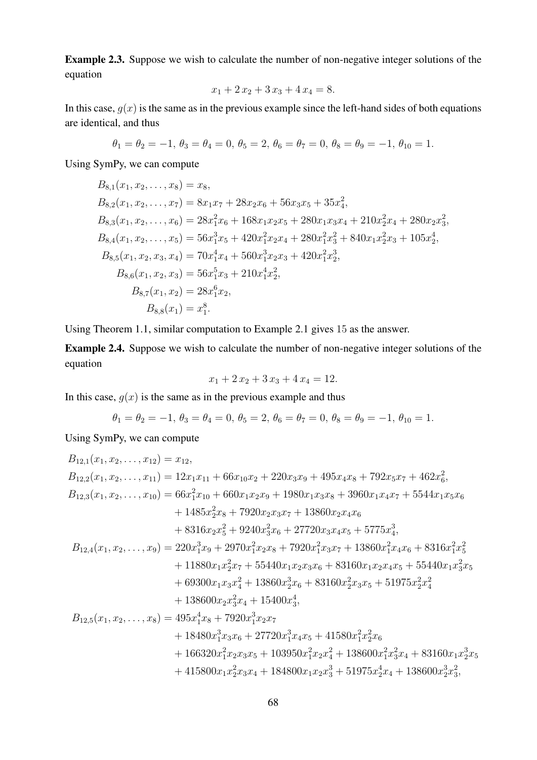Example 2.3. Suppose we wish to calculate the number of non-negative integer solutions of the equation

$$
x_1 + 2x_2 + 3x_3 + 4x_4 = 8.
$$

In this case,  $g(x)$  is the same as in the previous example since the left-hand sides of both equations are identical, and thus

$$
\theta_1 = \theta_2 = -1, \ \theta_3 = \theta_4 = 0, \ \theta_5 = 2, \ \theta_6 = \theta_7 = 0, \ \theta_8 = \theta_9 = -1, \ \theta_{10} = 1.
$$

Using SymPy, we can compute

$$
B_{8,1}(x_1, x_2, \ldots, x_8) = x_8,
$$
  
\n
$$
B_{8,2}(x_1, x_2, \ldots, x_7) = 8x_1x_7 + 28x_2x_6 + 56x_3x_5 + 35x_4^2,
$$
  
\n
$$
B_{8,3}(x_1, x_2, \ldots, x_6) = 28x_1^2x_6 + 168x_1x_2x_5 + 280x_1x_3x_4 + 210x_2^2x_4 + 280x_2x_3^2,
$$
  
\n
$$
B_{8,4}(x_1, x_2, \ldots, x_5) = 56x_1^3x_5 + 420x_1^2x_2x_4 + 280x_1^2x_3^2 + 840x_1x_2^2x_3 + 105x_2^4,
$$
  
\n
$$
B_{8,5}(x_1, x_2, x_3, x_4) = 70x_1^4x_4 + 560x_1^3x_2x_3 + 420x_1^2x_3^3,
$$
  
\n
$$
B_{8,6}(x_1, x_2, x_3) = 56x_1^5x_3 + 210x_1^4x_2^2,
$$
  
\n
$$
B_{8,7}(x_1, x_2) = 28x_1^6x_2,
$$
  
\n
$$
B_{8,8}(x_1) = x_1^8.
$$

Using Theorem 1.1, similar computation to Example 2.1 gives 15 as the answer.

Example 2.4. Suppose we wish to calculate the number of non-negative integer solutions of the equation

$$
x_1 + 2x_2 + 3x_3 + 4x_4 = 12.
$$

In this case,  $g(x)$  is the same as in the previous example and thus

$$
\theta_1 = \theta_2 = -1, \ \theta_3 = \theta_4 = 0, \ \theta_5 = 2, \ \theta_6 = \theta_7 = 0, \ \theta_8 = \theta_9 = -1, \ \theta_{10} = 1.
$$

Using SymPy, we can compute

$$
B_{12,1}(x_1, x_2, \ldots, x_{12}) = x_{12},
$$
  
\n
$$
B_{12,2}(x_1, x_2, \ldots, x_{11}) = 12x_1x_{11} + 66x_{10}x_2 + 220x_3x_9 + 495x_4x_8 + 792x_5x_7 + 462x_6^2,
$$
  
\n
$$
B_{12,3}(x_1, x_2, \ldots, x_{10}) = 66x_1^2x_{10} + 660x_1x_2x_9 + 1980x_1x_3x_8 + 3960x_1x_4x_7 + 5544x_1x_5x_6
$$
  
\n
$$
+ 1485x_2^2x_8 + 7920x_2x_3x_7 + 13860x_2x_4x_6
$$
  
\n
$$
+ 8316x_2x_5^2 + 9240x_3^2x_6 + 27720x_3x_4x_5 + 5775x_4^3,
$$
  
\n
$$
B_{12,4}(x_1, x_2, \ldots, x_9) = 220x_1^3x_9 + 2970x_1^2x_2x_8 + 7920x_1^2x_3x_7 + 13860x_1^2x_4x_6 + 8316x_1^2x_5^2
$$
  
\n
$$
+ 11880x_1x_2^2x_7 + 55440x_1x_2x_3x_6 + 83160x_1x_2x_4x_5 + 55440x_1x_3^2x_5
$$
  
\n
$$
+ 69300x_1x_3x_4^2 + 13860x_2^3x_6 + 83160x_2^2x_3x_5 + 51975x_2^2x_4^2
$$
  
\n
$$
+ 138600x_2x_3^2x_4 + 15400x_4^4,
$$
  
\n
$$
B_{12,5}(x_1, x_2, \ldots, x_8) = 495x_1^4x_8 + 7920x_1^3x_2x_7
$$
<

$$
+\ 415800x_1x_2^2x_3x_4 + 184800x_1x_2x_3^3 + 51975x_2^4x_4 + 138600x_2^3x_3^2,
$$